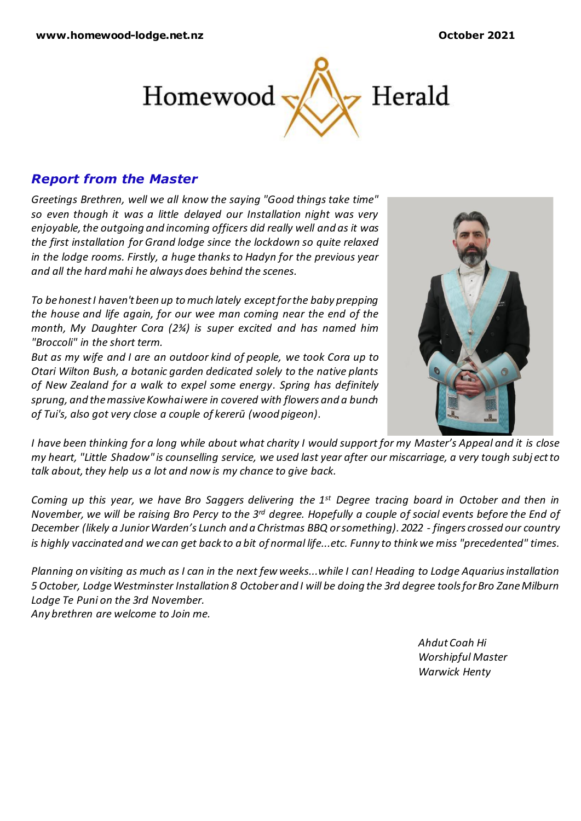

# *Report from the Master*

*Greetings Brethren, well we all know the saying "Good things take time" so even though it was a little delayed our Installation night was very enjoyable, the outgoing and incoming officers did really well and as it was the first installation for Grand lodge since the lockdown so quite relaxed in the lodge rooms. Firstly, a huge thanks to Hadyn for the previous year and all the hard mahi he always does behind the scenes.* 

*To be honest I haven't been up to much lately except for the baby prepping the house and life again, for our wee man coming near the end of the month, My Daughter Cora (2¾) is super excited and has named him "Broccoli" in the short term.*

*But as my wife and I are an outdoor kind of people, we took Cora up to Otari Wilton Bush, a botanic garden dedicated solely to the native plants of New Zealand for a walk to expel some energy. Spring has definitely sprung, and the massive Kowhai were in covered with flowers and a bunch of Tui's, also got very close a couple of kererū (wood pigeon).*



*I have been thinking for a long while about what charity I would support for my Master's Appeal and it is close my heart, "Little Shadow" is counselling service, we used last year after our miscarriage, a very tough subj ect to talk about, they help us a lot and now is my chance to give back.*

*Coming up this year, we have Bro Saggers delivering the 1st Degree tracing board in October and then in November, we will be raising Bro Percy to the 3rd degree. Hopefully a couple of social events before the End of December (likely a Junior Warden's Lunch and a Christmas BBQ or something). 2022 - fingers crossed our country*  is highly vaccinated and we can get back to a bit of normal life...etc. Funny to think we miss "precedented" times.

*Planning on visiting as much as I can in the next few weeks...while I can! Heading to Lodge Aquarius installation 5October, Lodge Westminster Installation 8 October and I will be doing the 3rd degree tools for Bro Zane Milburn Lodge Te Puni on the 3rd November. Any brethren are welcome to Join me.*

> *Ahdut Coah Hi Worshipful Master Warwick Henty*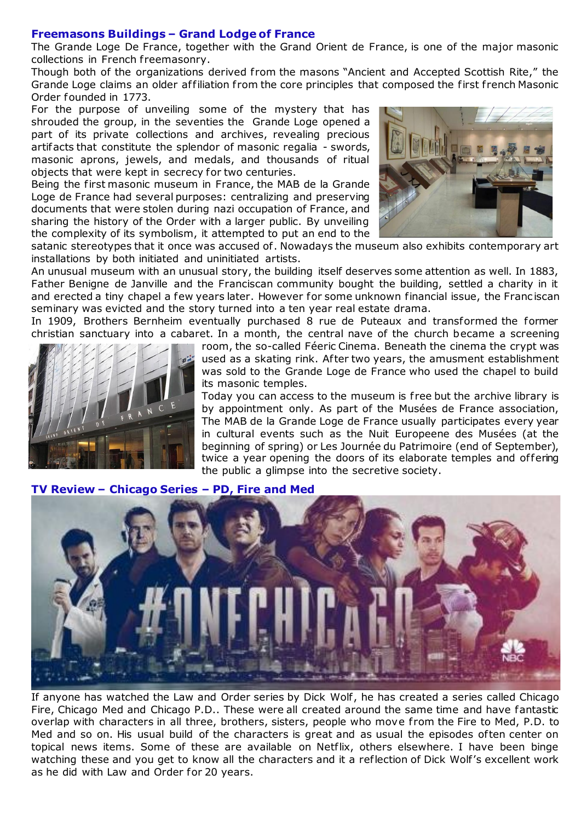## **Freemasons Buildings – Grand Lodge of France**

The Grande Loge De France, together with the Grand Orient de France, is one of the major masonic collections in French freemasonry.

Though both of the organizations derived from the masons "Ancient and Accepted Scottish Rite," the Grande Loge claims an older affiliation from the core principles that composed the first french Masonic Order founded in 1773.

For the purpose of unveiling some of the mystery that has shrouded the group, in the seventies the Grande Loge opened a part of its private collections and archives, revealing precious artifacts that constitute the splendor of masonic regalia - swords, masonic aprons, jewels, and medals, and thousands of ritual objects that were kept in secrecy for two centuries.

Being the first masonic museum in France, the MAB de la Grande Loge de France had several purposes: centralizing and preserving documents that were stolen during nazi occupation of France, and sharing the history of the Order with a larger public. By unveiling the complexity of its symbolism, it attempted to put an end to the



satanic stereotypes that it once was accused of . Nowadays the museum also exhibits contemporary art installations by both initiated and uninitiated artists.

An unusual museum with an unusual story, the building itself deserves some attention as well. In 1883, Father Benigne de Janville and the Franciscan community bought the building, settled a charity in it and erected a tiny chapel a few years later. However for some unknown financial issue, the Franc iscan seminary was evicted and the story turned into a ten year real estate drama.

In 1909, Brothers Bernheim eventually purchased 8 rue de Puteaux and transformed the former christian sanctuary into a cabaret. In a month, the central nave of the church became a screening



room, the so-called Féeric Cinema. Beneath the cinema the crypt was used as a skating rink. Af ter two years, the amusment establishment was sold to the Grande Loge de France who used the chapel to build its masonic temples.

Today you can access to the museum is free but the archive library is by appointment only. As part of the Musées de France association, The MAB de la Grande Loge de France usually participates every year in cultural events such as the Nuit Europeene des Musées (at the beginning of spring) or Les Journée du Patrimoire (end of September), twice a year opening the doors of its elaborate temples and offering the public a glimpse into the secretive society.

If anyone has watched the Law and Order series by Dick Wolf , he has created a series called Chicago Fire, Chicago Med and Chicago P.D.. These were all created around the same time and have fantastic overlap with characters in all three, brothers, sisters, people who move from the Fire to Med, P.D. to Med and so on. His usual build of the characters is great and as usual the episodes often center on topical news items. Some of these are available on Netflix, others elsewhere. I have been binge watching these and you get to know all the characters and it a reflection of Dick Wolf's excellent work as he did with Law and Order for 20 years.

## **TV Review – Chicago Series – PD, Fire and Med**